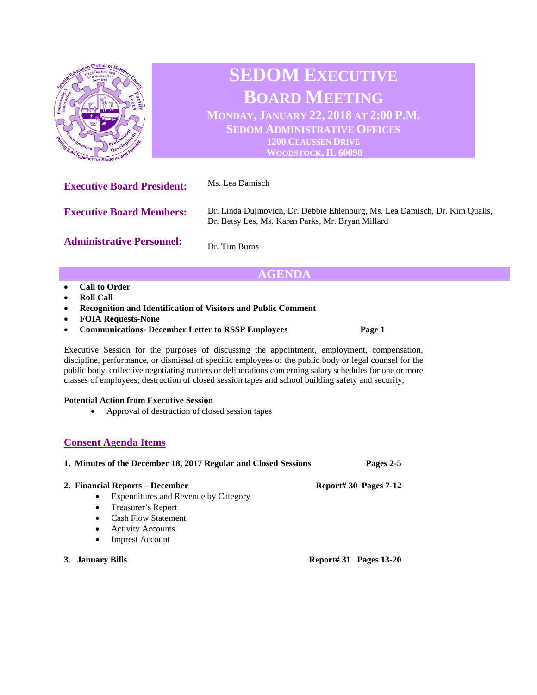

## **AGENDA**

- **Call to Order**
- **Roll Call**
- **Recognition and Identification of Visitors and Public Comment**
- **FOIA Requests-None**
- **Communications- December Letter to RSSP Employees Page 1**

Executive Session for the purposes of discussing the appointment, employment, compensation, discipline, performance, or dismissal of specific employees of the public body or legal counsel for the public body, collective negotiating matters or deliberations concerning salary schedules for one or more classes of employees; destruction of closed session tapes and school building safety and security,

#### **Potential Action from Executive Session**

• Approval of destruction of closed session tapes

### **Consent Agenda Items**

|    |                      | 1. Minutes of the December 18, 2017 Regular and Closed Sessions | Pages 2-5                    |
|----|----------------------|-----------------------------------------------------------------|------------------------------|
|    |                      | 2. Financial Reports – December                                 | Report# 30 Pages 7-12        |
|    | $\bullet$            | Expenditures and Revenue by Category                            |                              |
|    | $\bullet$            | Treasurer's Report                                              |                              |
|    | $\bullet$            | <b>Cash Flow Statement</b>                                      |                              |
|    | $\bullet$            | <b>Activity Accounts</b>                                        |                              |
|    | $\bullet$            | <b>Imprest Account</b>                                          |                              |
| 3. | <b>January Bills</b> |                                                                 | <b>Report#31 Pages 13-20</b> |